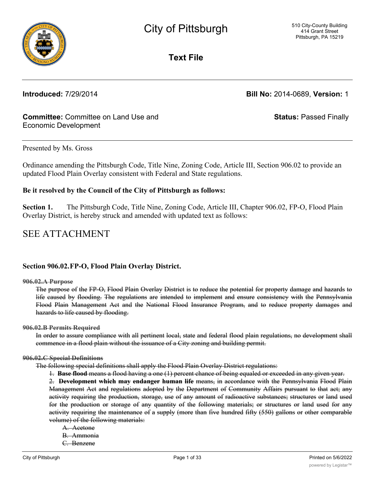

**Text File**

**Introduced:** 7/29/2014 **Bill No:** 2014-0689, **Version:** 1

# **Committee:** Committee on Land Use and Economic Development

**Status:** Passed Finally

### Presented by Ms. Gross

Ordinance amending the Pittsburgh Code, Title Nine, Zoning Code, Article III, Section 906.02 to provide an updated Flood Plain Overlay consistent with Federal and State regulations.

### **Be it resolved by the Council of the City of Pittsburgh as follows:**

**Section 1.** The Pittsburgh Code, Title Nine, Zoning Code, Article III, Chapter 906.02, FP-O, Flood Plain Overlay District, is hereby struck and amended with updated text as follows:

# SEE ATTACHMENT

## **Section 906.02.FP-O, Flood Plain Overlay District.**

**906.02.A Purpose**

The purpose of the FP-O, Flood Plain Overlay District is to reduce the potential for property damage and hazards to life caused by flooding. The regulations are intended to implement and ensure consistency with the Pennsylvania Flood Plain Management Act and the National Flood Insurance Program, and to reduce property damages and hazards to life caused by flooding.

### **906.02.B Permits Required**

In order to assure compliance with all pertinent local, state and federal flood plain regulations, no development shall commence in a flood plain without the issuance of a City zoning and building permit.

### **906.02.C Special Definitions**

The following special definitions shall apply the Flood Plain Overlay District regulations:

1. **Base flood** means a flood having a one (1) percent chance of being equaled or exceeded in any given year.

2. **Development which may endanger human life** means, in accordance with the Pennsylvania Flood Plain Management Act and regulations adopted by the Department of Community Affairs pursuant to that act; any activity requiring the production, storage, use of any amount of radioactive substances; structures or land used for the production or storage of any quantity of the following materials; or structures or land used for any activity requiring the maintenance of a supply (more than five hundred fifty (550) gallons or other comparable volume) of the following materials:

A. Acetone B. Ammonia C. Benzene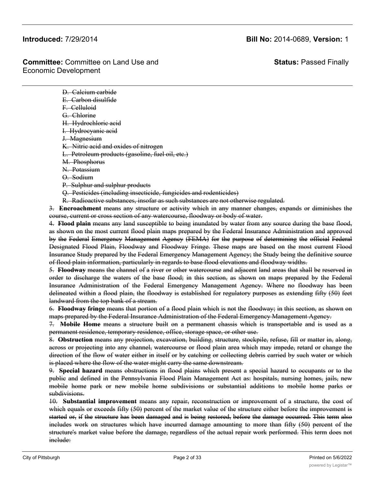**Status:** Passed Finally

D. Calcium carbide E. Carbon disulfide F. Celluloid G. Chlorine H. Hydrochloric acid I. Hydrocyanic acid J. Magnesium K. Nitric acid and oxides of nitrogen L. Petroleum products (gasoline, fuel oil, etc.) M. Phosphorus N. Potassium O. Sodium P. Sulphur and sulphur products Q. Pesticides (including insecticide, fungicides and rodenticides)

R. Radioactive substances, insofar as such substances are not otherwise regulated.

3. **Encroachment** means any structure or activity which in any manner changes, expands or diminishes the course, current or cross section of any watercourse, floodway or body of water.

4. **Flood plain** means any land susceptible to being inundated by water from any source during the base flood, as shown on the most current flood plain maps prepared by the Federal Insurance Administration and approved by the Federal Emergency Management Agency (FEMA) for the purpose of determining the official Federal Designated Flood Plain, Floodway and Floodway Fringe. These maps are based on the most current Flood Insurance Study prepared by the Federal Emergency Management Agency; the Study being the definitive source of flood plain information, particularly in regards to base flood elevations and floodway widths.

5. **Floodway** means the channel of a river or other watercourse and adjacent land areas that shall be reserved in order to discharge the waters of the base flood; in this section, as shown on maps prepared by the Federal Insurance Administration of the Federal Emergency Management Agency. Where no floodway has been delineated within a flood plain, the floodway is established for regulatory purposes as extending fifty (50) feet landward from the top bank of a stream.

6. **Floodway fringe** means that portion of a flood plain which is not the floodway; in this section, as shown on maps prepared by the Federal Insurance Administration of the Federal Emergency Management Agency.

7. **Mobile Home** means a structure built on a permanent chassis which is transportable and is used as a permanent residence, temporary residence, office, storage space, or other use.

8. **Obstruction** means any projection, excavation, building, structure, stockpile, refuse, fill or matter in, along, across or projecting into any channel, watercourse or flood plain area which may impede, retard or change the direction of the flow of water either in itself or by catching or collecting debris carried by such water or which is placed where the flow of the water might carry the same downstream.

9. **Special hazard** means obstructions in flood plains which present a special hazard to occupants or to the public and defined in the Pennsylvania Flood Plain Management Act as: hospitals, nursing homes, jails, new mobile home park or new mobile home subdivisions or substantial additions to mobile home parks or subdivisions.

10. **Substantial improvement** means any repair, reconstruction or improvement of a structure, the cost of which equals or exceeds fifty (50) percent of the market value of the structure either before the improvement is started or, if the structure has been damaged and is being restored, before the damage occurred. This term also includes work on structures which have incurred damage amounting to more than fifty (50) percent of the structure's market value before the damage, regardless of the actual repair work performed. This term does not include:

 $A$  . Any project for improvement of a structure to comply with existing state or local health, sanitary or local health, sanitary or local health, sanitary or local health, sanitary or local health, sanitary or local hea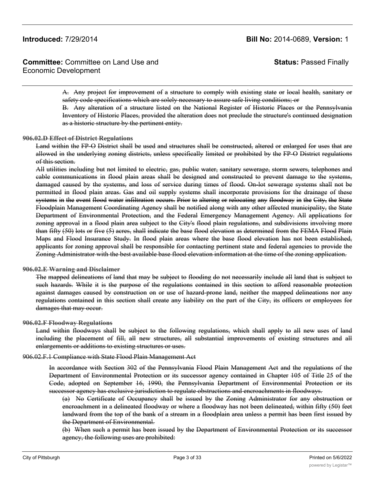**Committee:** Committee on Land Use and Economic Development

**Status:** Passed Finally

A. Any project for improvement of a structure to comply with existing state or local health, sanitary or safety code specifications which are solely necessary to assure safe living conditions; or

B. Any alteration of a structure listed on the National Register of Historic Places or the Pennsylvania Inventory of Historic Places, provided the alteration does not preclude the structure's continued designation as a historic structure by the pertinent entity.

### **906.02.D Effect of District Regulations**

Land within the FP-O District shall be used and structures shall be constructed, altered or enlarged for uses that are allowed in the underlying zoning districts, unless specifically limited or prohibited by the FP-O District regulations of this section.

All utilities including but not limited to electric, gas, public water, sanitary sewerage, storm sewers, telephones and cable communications in flood plain areas shall be designed and constructed to prevent damage to the systems, damaged caused by the systems, and loss of service during times of flood. On-lot sewerage systems shall not be permitted in flood plain areas. Gas and oil supply systems shall incorporate provisions for the drainage of these systems in the event flood water infiltration occurs. Prior to altering or relocating any floodway in the City, the State Floodplain Management Coordinating Agency shall be notified along with any other affected municipality, the State Department of Environmental Protection, and the Federal Emergency Management Agency. All applications for zoning approval in a flood plain area subject to the City's flood plain regulations, and subdivisions involving more than fifty (50) lots or five (5) acres, shall indicate the base flood elevation as determined from the FEMA Flood Plain Maps and Flood Insurance Study. In flood plain areas where the base flood elevation has not been established, applicants for zoning approval shall be responsible for contacting pertinent state and federal agencies to provide the Zoning Administrator with the best available base flood elevation information at the time of the zoning application.

### **906.02.E Warning and Disclaimer**

The mapped delineations of land that may be subject to flooding do not necessarily include all land that is subject to such hazards. While it is the purpose of the regulations contained in this section to afford reasonable protection against damages caused by construction on or use of hazard-prone land, neither the mapped delineations nor any regulations contained in this section shall create any liability on the part of the City, its officers or employees for damages that may occur.

### **906.02.F Floodway Regulations**

Land within floodways shall be subject to the following regulations, which shall apply to all new uses of land including the placement of fill, all new structures, all substantial improvements of existing structures and all enlargements or additions to existing structures or uses.

### 906.02.F.1 Compliance with State Flood Plain Management Act

In accordance with Section 302 of the Pennsylvania Flood Plain Management Act and the regulations of the Department of Environmental Protection or its successor agency contained in Chapter 105 of Title 25 of the Code, adopted on September 16, 1990, the Pennsylvania Department of Environmental Protection or its successor agency has exclusive jurisdiction to regulate obstructions and encroachments in floodways.

(a) No Certificate of Occupancy shall be issued by the Zoning Administrator for any obstruction or encroachment in a delineated floodway or where a floodway has not been delineated, within fifty (50) feet landward from the top of the bank of a stream in a floodplain area unless a permit has been first issued by the Department of Environmental.

(b) When such a permit has been issued by the Department of Environmental Protection or its successor agency, the following uses are prohibited: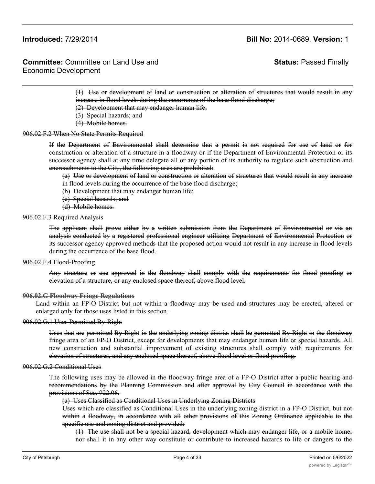**Committee:** Committee on Land Use and Economic Development

**Status:** Passed Finally

(1) Use or development of land or construction or alteration of structures that would result in any increase in flood levels during the occurrence of the base flood discharge;

- (2) Development that may endanger human life;
- (3) Special hazards; and
- (4) Mobile homes.

### 906.02.F.2 When No State Permits Required

If the Department of Environmental shall determine that a permit is not required for use of land or for construction or alteration of a structure in a floodway or if the Department of Environmental Protection or its successor agency shall at any time delegate all or any portion of its authority to regulate such obstruction and encroachments to the City, the following uses are prohibited:

(a) Use or development of land or construction or alteration of structures that would result in any increase in flood levels during the occurrence of the base flood discharge;

- (b) Development that may endanger human life;
- (c) Special hazards; and
- (d) Mobile homes.

### 906.02.F.3 Required Analysis

The applicant shall prove either by a written submission from the Department of Environmental or via an analysis conducted by a registered professional engineer utilizing Department of Environmental Protection or its successor agency approved methods that the proposed action would not result in any increase in flood levels during the occurrence of the base flood.

### 906.02.F.4 Flood-Proofing

Any structure or use approved in the floodway shall comply with the requirements for flood proofing or elevation of a structure, or any enclosed space thereof, above flood level.

### **906.02.G Floodway Fringe Regulations**

Land within an FP-O District but not within a floodway may be used and structures may be erected, altered or enlarged only for those uses listed in this section.

### 906.02.G.1 Uses Permitted By-Right

Uses that are permitted By-Right in the underlying zoning district shall be permitted By-Right in the floodway fringe area of an FP-O District, except for developments that may endanger human life or special hazards. All new construction and substantial improvement of existing structures shall comply with requirements for elevation of structures, and any enclosed space thereof, above flood level or flood proofing.

### 906.02.G.2 Conditional Uses

The following uses may be allowed in the floodway fringe area of a FP-O District after a public hearing and recommendations by the Planning Commission and after approval by City Council in accordance with the provisions of Sec. 922.06.

### (a) Uses Classified as Conditional Uses in Underlying Zoning Districts

Uses which are classified as Conditional Uses in the underlying zoning district in a FP-O District, but not within a floodway, in accordance with all other provisions of this Zoning Ordinance applicable to the specific use and zoning district and provided:

(1) The use shall not be a special hazard, development which may endanger life, or a mobile home; nor shall it in any other way constitute or contribute to increased hazards to life or dangers to the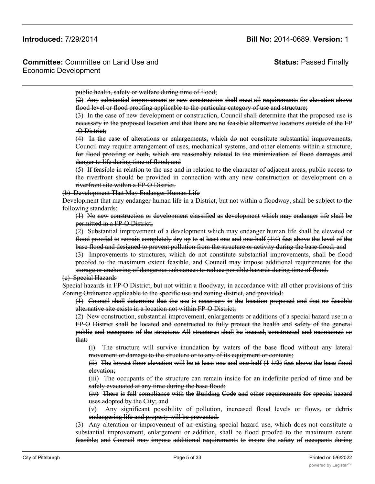**Committee:** Committee on Land Use and Economic Development

**Status:** Passed Finally

public health, safety or welfare during time of flood;

(2) Any substantial improvement or new construction shall meet all requirements for elevation above flood level or flood proofing applicable to the particular category of use and structure;

(3) In the case of new development or construction, Council shall determine that the proposed use is necessary in the proposed location and that there are no feasible alternative locations outside of the FP -O District;

(4) In the case of alterations or enlargements, which do not constitute substantial improvements, Council may require arrangement of uses, mechanical systems, and other elements within a structure, for flood proofing or both, which are reasonably related to the minimization of flood damages and danger to life during time of flood; and

(5) If feasible in relation to the use and in relation to the character of adjacent areas, public access to the riverfront should be provided in connection with any new construction or development on a riverfront site within a FP-O District.

(b) Development That May Endanger Human Life

Development that may endanger human life in a District, but not within a floodway, shall be subject to the following standards:

(1) No new construction or development classified as development which may endanger life shall be permitted in a FP-O District;

(2) Substantial improvement of a development which may endanger human life shall be elevated or flood proofed to remain completely dry up to at least one and one-half (1½) feet above the level of the base flood and designed to prevent pollution from the structure or activity during the base flood; and

(3) Improvements to structures, which do not constitute substantial improvements, shall be flood proofed to the maximum extent feasible, and Council may impose additional requirements for the storage or anchoring of dangerous substances to reduce possible hazards during time of flood.

(c) Special Hazards

Special hazards in FP-O District, but not within a floodway, in accordance with all other provisions of this Zoning Ordinance applicable to the specific use and zoning district, and provided:

(1) Council shall determine that the use is necessary in the location proposed and that no feasible alternative site exists in a location not within FP-O District;

(2) New construction, substantial improvement, enlargements or additions of a special hazard use in a FP-O District shall be located and constructed to fully protect the health and safety of the general public and occupants of the structure. All structures shall be located, constructed and maintained so that:

(i) The structure will survive inundation by waters of the base flood without any lateral movement or damage to the structure or to any of its equipment or contents;

(ii) The lowest floor elevation will be at least one and one-half (1 1/2) feet above the base flood elevation;

(iii) The occupants of the structure can remain inside for an indefinite period of time and be safely evacuated at any time during the base flood;

(iv) There is full compliance with the Building Code and other requirements for special hazard uses adopted by the City; and

(v) Any significant possibility of pollution, increased flood levels or flows, or debris endangering life and property will be prevented.

(3) Any alteration or improvement of an existing special hazard use, which does not constitute a substantial improvement, enlargement or addition, shall be flood proofed to the maximum extent feasible; and Council may impose additional requirements to insure the safety of occupants during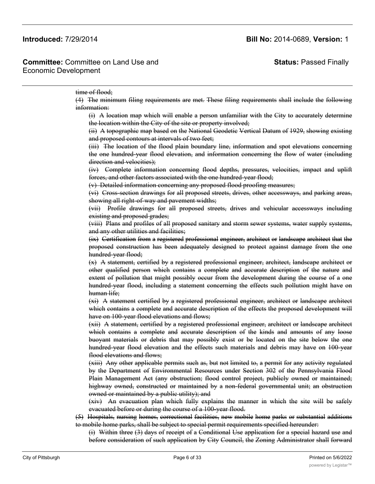# **Status:** Passed Finally

### time of flood;

(4) The minimum filing requirements are met. These filing requirements shall include the following information:

(i) A location map which will enable a person unfamiliar with the City to accurately determine the location within the City of the site or property involved;

(ii) A topographic map based on the National Geodetic Vertical Datum of 1929, showing existing and proposed contours at intervals of two feet;

(iii) The location of the flood plain boundary line, information and spot elevations concerning the one hundred-year flood elevation, and information concerning the flow of water (including direction and velocities);

(iv) Complete information concerning flood depths, pressures, velocities, impact and uplift forces, and other factors associated with the one hundred-year flood;

(v) Detailed information concerning any proposed flood proofing measures;

(vi) Cross-section drawings for all proposed streets, drives, other accessways, and parking areas, showing all right-of-way and pavement widths;

(vii) Profile drawings for all proposed streets, drives and vehicular accessways including existing and proposed grades;

(viii) Plans and profiles of all proposed sanitary and storm sewer systems, water supply systems, and any other utilities and facilities;

(ix) Certification from a registered professional engineer, architect or landscape architect that the proposed construction has been adequately designed to protect against damage from the one hundred-year flood;

(x) A statement, certified by a registered professional engineer, architect, landscape architect or other qualified person which contains a complete and accurate description of the nature and extent of pollution that might possibly occur from the development during the course of a one hundred-year flood, including a statement concerning the effects such pollution might have on human life;

(xi) A statement certified by a registered professional engineer, architect or landscape architect which contains a complete and accurate description of the effects the proposed development will have on 100-year flood elevations and flows;

(xii) A statement, certified by a registered professional engineer, architect or landscape architect which contains a complete and accurate description of the kinds and amounts of any loose buoyant materials or debris that may possibly exist or be located on the site below the one hundred-year flood elevation and the effects such materials and debris may have on 100-year flood elevations and flows;

(xiii) Any other applicable permits such as, but not limited to, a permit for any activity regulated by the Department of Environmental Resources under Section 302 of the Pennsylvania Flood Plain Management Act (any obstruction; flood control project, publicly owned or maintained; highway owned, constructed or maintained by a non-federal governmental unit; an obstruction owned or maintained by a public utility); and

(xiv) An evacuation plan which fully explains the manner in which the site will be safely evacuated before or during the course of a 100-year flood.

(5) Hospitals, nursing homes, correctional facilities, new mobile home parks or substantial additions to mobile home parks, shall be subject to special permit requirements specified hereunder:

(i) Within three (3) days of receipt of a Conditional Use application for a special hazard use and before consideration of such application by City Council, the Zoning Administrator shall forward a copy of the application, with accompanying documents to the Allegheny County  $P$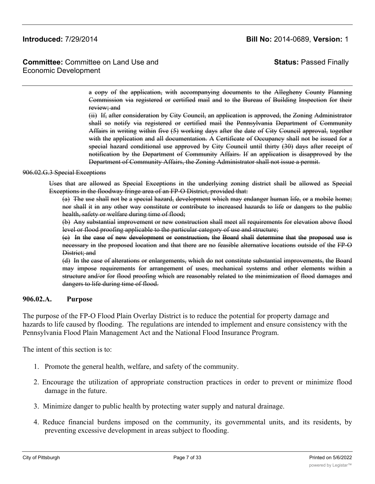**Committee:** Committee on Land Use and Economic Development

**Status:** Passed Finally

a copy of the application, with accompanying documents to the Allegheny County Planning Commission via registered or certified mail and to the Bureau of Building Inspection for their review; and

(ii) If, after consideration by City Council, an application is approved, the Zoning Administrator shall so notify via registered or certified mail the Pennsylvania Department of Community Affairs in writing within five (5) working days after the date of City Council approval, together with the application and all documentation. A Certificate of Occupancy shall not be issued for a special hazard conditional use approved by City Council until thirty (30) days after receipt of notification by the Department of Community Affairs. If an application is disapproved by the Department of Community Affairs, the Zoning Administrator shall not issue a permit.

### 906.02.G.3 Special Exceptions

Uses that are allowed as Special Exceptions in the underlying zoning district shall be allowed as Special Exceptions in the floodway fringe area of an FP-O District, provided that:

(a) The use shall not be a special hazard, development which may endanger human life, or a mobile home; nor shall it in any other way constitute or contribute to increased hazards to life or dangers to the public health, safety or welfare during time of flood;

(b) Any substantial improvement or new construction shall meet all requirements for elevation above flood level or flood proofing applicable to the particular category of use and structure;

(c) In the case of new development or construction, the Board shall determine that the proposed use is necessary in the proposed location and that there are no feasible alternative locations outside of the FP-O District; and

(d) In the case of alterations or enlargements, which do not constitute substantial improvements, the Board may impose requirements for arrangement of uses, mechanical systems and other elements within a structure and/or for flood proofing which are reasonably related to the minimization of flood damages and dangers to life during time of flood.

### **906.02.A. Purpose**

The purpose of the FP-O Flood Plain Overlay District is to reduce the potential for property damage and hazards to life caused by flooding. The regulations are intended to implement and ensure consistency with the Pennsylvania Flood Plain Management Act and the National Flood Insurance Program.

The intent of this section is to:

- 1. Promote the general health, welfare, and safety of the community.
- 2. Encourage the utilization of appropriate construction practices in order to prevent or minimize flood damage in the future.
- 3. Minimize danger to public health by protecting water supply and natural drainage.
- 4. Reduce financial burdens imposed on the community, its governmental units, and its residents, by preventing excessive development in areas subject to flooding.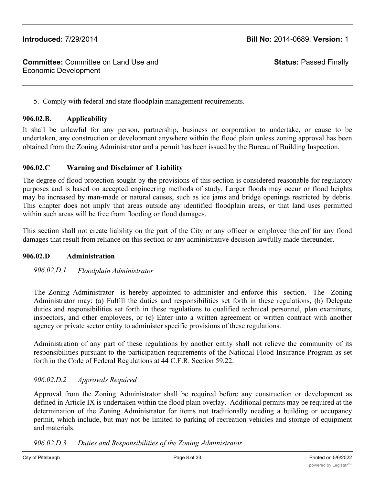**Status:** Passed Finally

5. Comply with federal and state floodplain management requirements.

# **906.02.B. Applicability**

It shall be unlawful for any person, partnership, business or corporation to undertake, or cause to be undertaken, any construction or development anywhere within the flood plain unless zoning approval has been obtained from the Zoning Administrator and a permit has been issued by the Bureau of Building Inspection.

## **906.02.C Warning and Disclaimer of Liability**

The degree of flood protection sought by the provisions of this section is considered reasonable for regulatory purposes and is based on accepted engineering methods of study. Larger floods may occur or flood heights may be increased by man-made or natural causes, such as ice jams and bridge openings restricted by debris. This chapter does not imply that areas outside any identified floodplain areas, or that land uses permitted within such areas will be free from flooding or flood damages.

This section shall not create liability on the part of the City or any officer or employee thereof for any flood damages that result from reliance on this section or any administrative decision lawfully made thereunder.

# **906.02.D Administration**

# *906.02.D.1 Floodplain Administrator*

The Zoning Administrator is hereby appointed to administer and enforce this section. The Zoning Administrator may: (a) Fulfill the duties and responsibilities set forth in these regulations, (b) Delegate duties and responsibilities set forth in these regulations to qualified technical personnel, plan examiners, inspectors, and other employees, or (c) Enter into a written agreement or written contract with another agency or private sector entity to administer specific provisions of these regulations.

Administration of any part of these regulations by another entity shall not relieve the community of its responsibilities pursuant to the participation requirements of the National Flood Insurance Program as set forth in the Code of Federal Regulations at 44 C.F.R. Section 59.22.

## *906.02.D.2 Approvals Required*

Approval from the Zoning Administrator shall be required before any construction or development as defined in Article IX is undertaken within the flood plain overlay. Additional permits may be required at the determination of the Zoning Administrator for items not traditionally needing a building or occupancy permit, which include, but may not be limited to parking of recreation vehicles and storage of equipment and materials.

## *906.02.D.3 Duties and Responsibilities of the Zoning Administrator*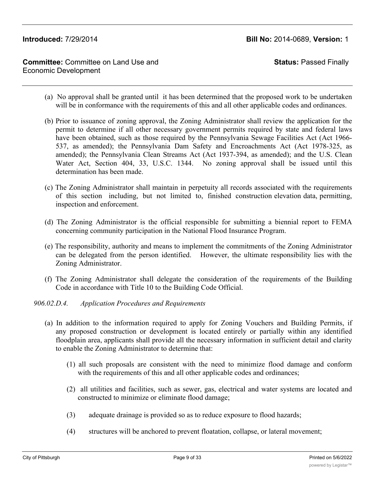**Committee:** Committee on Land Use and Economic Development

**Status:** Passed Finally

- (a) No approval shall be granted until it has been determined that the proposed work to be undertaken will be in conformance with the requirements of this and all other applicable codes and ordinances.
- (b) Prior to issuance of zoning approval, the Zoning Administrator shall review the application for the permit to determine if all other necessary government permits required by state and federal laws have been obtained, such as those required by the Pennsylvania Sewage Facilities Act (Act 1966-537, as amended); the Pennsylvania Dam Safety and Encroachments Act (Act 1978-325, as amended); the Pennsylvania Clean Streams Act (Act 1937-394, as amended); and the U.S. Clean Water Act, Section 404, 33, U.S.C. 1344. No zoning approval shall be issued until this determination has been made.
- (c) The Zoning Administrator shall maintain in perpetuity all records associated with the requirements of this section including, but not limited to, finished construction elevation data, permitting, inspection and enforcement.
- (d) The Zoning Administrator is the official responsible for submitting a biennial report to FEMA concerning community participation in the National Flood Insurance Program.
- (e) The responsibility, authority and means to implement the commitments of the Zoning Administrator can be delegated from the person identified. However, the ultimate responsibility lies with the Zoning Administrator.
- (f) The Zoning Administrator shall delegate the consideration of the requirements of the Building Code in accordance with Title 10 to the Building Code Official.

*906.02.D.4. Application Procedures and Requirements*

- (a) In addition to the information required to apply for Zoning Vouchers and Building Permits, if any proposed construction or development is located entirely or partially within any identified floodplain area, applicants shall provide all the necessary information in sufficient detail and clarity to enable the Zoning Administrator to determine that:
	- (1) all such proposals are consistent with the need to minimize flood damage and conform with the requirements of this and all other applicable codes and ordinances;
	- (2) all utilities and facilities, such as sewer, gas, electrical and water systems are located and constructed to minimize or eliminate flood damage;
	- (3) adequate drainage is provided so as to reduce exposure to flood hazards;
	- (4) structures will be anchored to prevent floatation, collapse, or lateral movement;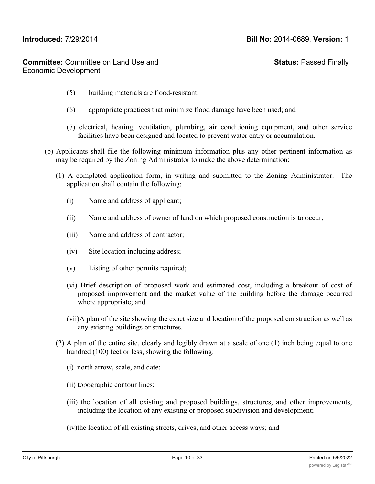# **Status:** Passed Finally

- (5) building materials are flood-resistant;
- (6) appropriate practices that minimize flood damage have been used; and
- (7) electrical, heating, ventilation, plumbing, air conditioning equipment, and other service facilities have been designed and located to prevent water entry or accumulation.
- (b) Applicants shall file the following minimum information plus any other pertinent information as may be required by the Zoning Administrator to make the above determination:
	- (1) A completed application form, in writing and submitted to the Zoning Administrator. The application shall contain the following:
		- (i) Name and address of applicant;
		- (ii) Name and address of owner of land on which proposed construction is to occur;
		- (iii) Name and address of contractor;
		- (iv) Site location including address;
		- (v) Listing of other permits required;
		- (vi) Brief description of proposed work and estimated cost, including a breakout of cost of proposed improvement and the market value of the building before the damage occurred where appropriate; and
		- (vii)A plan of the site showing the exact size and location of the proposed construction as well as any existing buildings or structures.
	- (2) A plan of the entire site, clearly and legibly drawn at a scale of one (1) inch being equal to one hundred (100) feet or less, showing the following:
		- (i) north arrow, scale, and date;
		- (ii) topographic contour lines;
		- (iii) the location of all existing and proposed buildings, structures, and other improvements, including the location of any existing or proposed subdivision and development;
		- (iv)the location of all existing streets, drives, and other access ways; and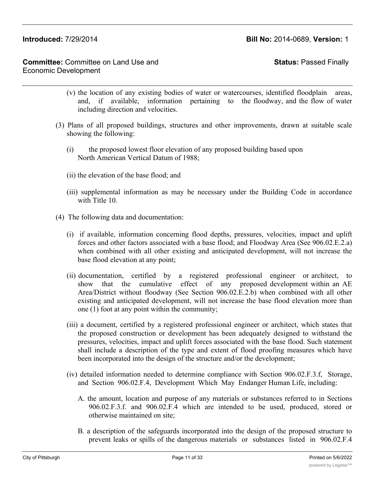**Status:** Passed Finally

- (v) the location of any existing bodies of water or watercourses, identified floodplain areas, and, if available, information pertaining to the floodway, and the flow of water including direction and velocities.
- (3) Plans of all proposed buildings, structures and other improvements, drawn at suitable scale showing the following:
	- (i) the proposed lowest floor elevation of any proposed building based upon North American Vertical Datum of 1988;
	- (ii) the elevation of the base flood; and
	- (iii) supplemental information as may be necessary under the Building Code in accordance with Title 10.
- (4) The following data and documentation:
	- (i) if available, information concerning flood depths, pressures, velocities, impact and uplift forces and other factors associated with a base flood; and Floodway Area (See 906.02.E.2.a) when combined with all other existing and anticipated development, will not increase the base flood elevation at any point;
	- (ii) documentation, certified by a registered professional engineer or architect, to show that the cumulative effect of any proposed development within an AE Area/District without floodway (See Section 906.02.E.2.b) when combined with all other existing and anticipated development, will not increase the base flood elevation more than one (1) foot at any point within the community;
	- (iii) a document, certified by a registered professional engineer or architect, which states that the proposed construction or development has been adequately designed to withstand the pressures, velocities, impact and uplift forces associated with the base flood. Such statement shall include a description of the type and extent of flood proofing measures which have been incorporated into the design of the structure and/or the development;
	- (iv) detailed information needed to determine compliance with Section 906.02.F.3.f, Storage, and Section 906.02.F.4, Development Which May Endanger Human Life, including:
		- A. the amount, location and purpose of any materials or substances referred to in Sections 906.02.F.3.f. and 906.02.F.4 which are intended to be used, produced, stored or otherwise maintained on site;
		- B. a description of the safeguards incorporated into the design of the proposed structure to prevent leaks or spills of the dangerous materials or substances listed in 906.02.F.4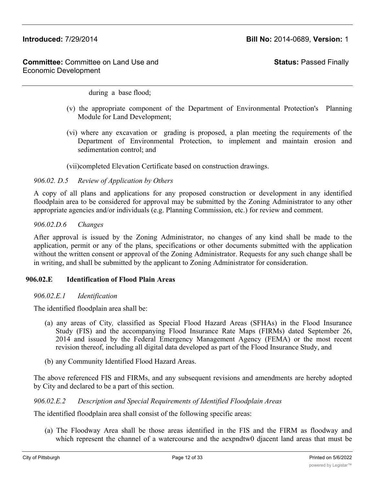**Status:** Passed Finally

during a base flood;

- (v) the appropriate component of the Department of Environmental Protection's Planning Module for Land Development;
- (vi) where any excavation or grading is proposed, a plan meeting the requirements of the Department of Environmental Protection, to implement and maintain erosion and sedimentation control; and
- (vii)completed Elevation Certificate based on construction drawings.

## *906.02. D.5 Review of Application by Others*

A copy of all plans and applications for any proposed construction or development in any identified floodplain area to be considered for approval may be submitted by the Zoning Administrator to any other appropriate agencies and/or individuals (e.g. Planning Commission, etc.) for review and comment.

## *906.02.D.6 Changes*

After approval is issued by the Zoning Administrator, no changes of any kind shall be made to the application, permit or any of the plans, specifications or other documents submitted with the application without the written consent or approval of the Zoning Administrator. Requests for any such change shall be in writing, and shall be submitted by the applicant to Zoning Administrator for consideration.

## **906.02.E Identification of Flood Plain Areas**

## *906.02.E.1 Identification*

The identified floodplain area shall be:

- (a) any areas of City*,* classified as Special Flood Hazard Areas (SFHAs) in the Flood Insurance Study (FIS) and the accompanying Flood Insurance Rate Maps (FIRMs) dated September 26, 2014 and issued by the Federal Emergency Management Agency (FEMA) or the most recent revision thereof, including all digital data developed as part of the Flood Insurance Study, and
- (b) any Community Identified Flood Hazard Areas.

The above referenced FIS and FIRMs, and any subsequent revisions and amendments are hereby adopted by City and declared to be a part of this section.

## *906.02.E.2 Description and Special Requirements of Identified Floodplain Areas*

The identified floodplain area shall consist of the following specific areas:

(a) The Floodway Area shall be those areas identified in the FIS and the FIRM as floodway and which represent the channel of a watercourse and the aexpndtw0 djacent land areas that must be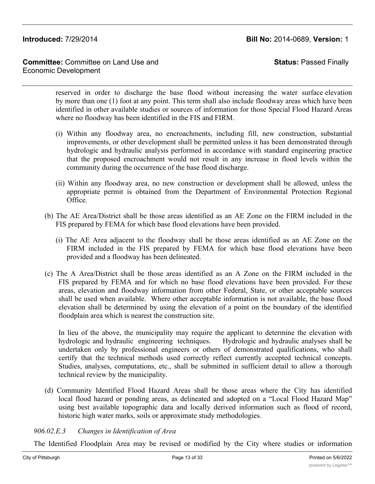**Committee:** Committee on Land Use and Economic Development

**Status:** Passed Finally

reserved in order to discharge the base flood without increasing the water surface elevation by more than one (1) foot at any point. This term shall also include floodway areas which have been identified in other available studies or sources of information for those Special Flood Hazard Areas where no floodway has been identified in the FIS and FIRM.

- (i) Within any floodway area, no encroachments, including fill, new construction, substantial improvements, or other development shall be permitted unless it has been demonstrated through hydrologic and hydraulic analysis performed in accordance with standard engineering practice that the proposed encroachment would not result in any increase in flood levels within the community during the occurrence of the base flood discharge.
- (ii) Within any floodway area, no new construction or development shall be allowed, unless the appropriate permit is obtained from the Department of Environmental Protection Regional Office.
- (b) The AE Area/District shall be those areas identified as an AE Zone on the FIRM included in the FIS prepared by FEMA for which base flood elevations have been provided.
	- (i) The AE Area adjacent to the floodway shall be those areas identified as an AE Zone on the FIRM included in the FIS prepared by FEMA for which base flood elevations have been provided and a floodway has been delineated.
- (c) The A Area/District shall be those areas identified as an A Zone on the FIRM included in the FIS prepared by FEMA and for which no base flood elevations have been provided. For these areas, elevation and floodway information from other Federal, State, or other acceptable sources shall be used when available. Where other acceptable information is not available, the base flood elevation shall be determined by using the elevation of a point on the boundary of the identified floodplain area which is nearest the construction site.

In lieu of the above, the municipality may require the applicant to determine the elevation with hydrologic and hydraulic engineering techniques. Hydrologic and hydraulic analyses shall be undertaken only by professional engineers or others of demonstrated qualifications, who shall certify that the technical methods used correctly reflect currently accepted technical concepts. Studies, analyses, computations, etc., shall be submitted in sufficient detail to allow a thorough technical review by the municipality.

(d) Community Identified Flood Hazard Areas shall be those areas where the City has identified local flood hazard or ponding areas, as delineated and adopted on a "Local Flood Hazard Map" using best available topographic data and locally derived information such as flood of record, historic high water marks, soils or approximate study methodologies.

# *906.02.E.3 Changes in Identification of Area*

The Identified Floodplain Area may be revised or modified by the City where studies or information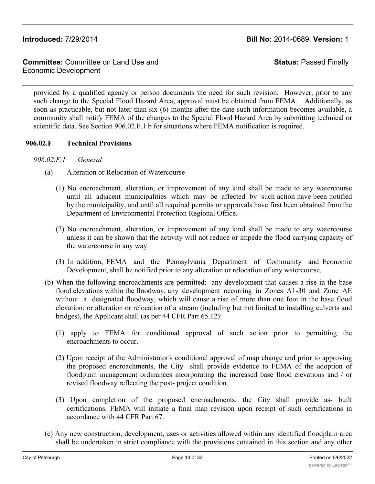**Committee:** Committee on Land Use and Economic Development

**Status:** Passed Finally

provided by a qualified agency or person documents the need for such revision. However, prior to any such change to the Special Flood Hazard Area, approval must be obtained from FEMA. Additionally, as soon as practicable, but not later than six (6) months after the date such information becomes available, a community shall notify FEMA of the changes to the Special Flood Hazard Area by submitting technical or scientific data. See Section 906.02.F.1.b for situations where FEMA notification is required.

## **906.02.F Technical Provisions**

- *906.02.F.1 General*
	- (a) Alteration or Relocation of Watercourse
		- (1) No encroachment, alteration, or improvement of any kind shall be made to any watercourse until all adjacent municipalities which may be affected by such action have been notified by the municipality, and until all required permits or approvals have first been obtained from the Department of Environmental Protection Regional Office.
		- (2) No encroachment, alteration, or improvement of any kind shall be made to any watercourse unless it can be shown that the activity will not reduce or impede the flood carrying capacity of the watercourse in any way.
		- (3) In addition, FEMA and the Pennsylvania Department of Community and Economic Development, shall be notified prior to any alteration or relocation of any watercourse.
	- (b) When the following encroachments are permitted: any development that causes a rise in the base flood elevations within the floodway; any development occurring in Zones A1-30 and Zone AE without a designated floodway, which will cause a rise of more than one foot in the base flood elevation; or alteration or relocation of a stream (including but not limited to installing culverts and bridges), the Applicant shall (as per 44 CFR Part 65.12):
		- (1) apply to FEMA for conditional approval of such action prior to permitting the encroachments to occur.
		- (2) Upon receipt of the Administrator's conditional approval of map change and prior to approving the proposed encroachments, the City shall provide evidence to FEMA of the adoption of floodplain management ordinances incorporating the increased base flood elevations and / or revised floodway reflecting the post- project condition.
		- (3) Upon completion of the proposed encroachments, the City shall provide as- built certifications. FEMA will initiate a final map revision upon receipt of such certifications in accordance with 44 CFR Part 67.
	- (c) Any new construction, development, uses or activities allowed within any identified floodplain area shall be undertaken in strict compliance with the provisions contained in this section and any other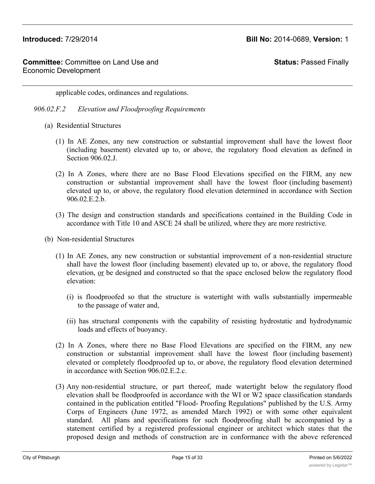**Status:** Passed Finally

applicable codes, ordinances and regulations.

- *906.02.F.2 Elevation and Floodproofing Requirements*
	- (a) Residential Structures
		- (1) In AE Zones, any new construction or substantial improvement shall have the lowest floor (including basement) elevated up to, or above, the regulatory flood elevation as defined in Section 906.02.J.
		- (2) In A Zones, where there are no Base Flood Elevations specified on the FIRM, any new construction or substantial improvement shall have the lowest floor (including basement) elevated up to, or above, the regulatory flood elevation determined in accordance with Section 906.02.E.2.b.
		- (3) The design and construction standards and specifications contained in the Building Code in accordance with Title 10 and ASCE 24 shall be utilized, where they are more restrictive.
	- (b) Non-residential Structures
		- (1) In AE Zones, any new construction or substantial improvement of a non-residential structure shall have the lowest floor (including basement) elevated up to, or above, the regulatory flood elevation, or be designed and constructed so that the space enclosed below the regulatory flood elevation:
			- (i) is floodproofed so that the structure is watertight with walls substantially impermeable to the passage of water and,
			- (ii) has structural components with the capability of resisting hydrostatic and hydrodynamic loads and effects of buoyancy.
		- (2) In A Zones, where there no Base Flood Elevations are specified on the FIRM, any new construction or substantial improvement shall have the lowest floor (including basement) elevated or completely floodproofed up to, or above, the regulatory flood elevation determined in accordance with Section 906.02.E.2.c.
		- (3) Any non-residential structure, or part thereof, made watertight below the regulatory flood elevation shall be floodproofed in accordance with the WI or W2 space classification standards contained in the publication entitled "Flood- Proofing Regulations" published by the U.S. Army Corps of Engineers (June 1972, as amended March 1992) or with some other equivalent standard. All plans and specifications for such floodproofing shall be accompanied by a statement certified by a registered professional engineer or architect which states that the proposed design and methods of construction are in conformance with the above referenced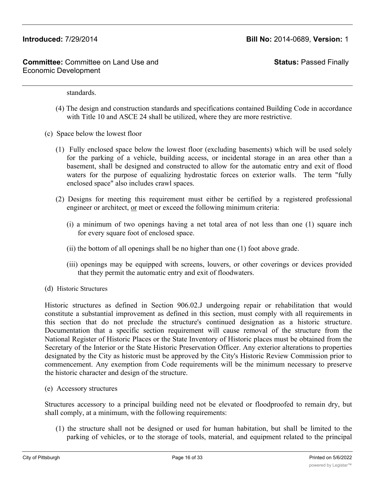**Status:** Passed Finally

standards.

- (4) The design and construction standards and specifications contained Building Code in accordance with Title 10 and ASCE 24 shall be utilized, where they are more restrictive.
- (c) Space below the lowest floor
	- (1) Fully enclosed space below the lowest floor (excluding basements) which will be used solely for the parking of a vehicle, building access, or incidental storage in an area other than a basement, shall be designed and constructed to allow for the automatic entry and exit of flood waters for the purpose of equalizing hydrostatic forces on exterior walls. The term "fully enclosed space" also includes crawl spaces.
	- (2) Designs for meeting this requirement must either be certified by a registered professional engineer or architect, or meet or exceed the following minimum criteria:
		- (i) a minimum of two openings having a net total area of not less than one (1) square inch for every square foot of enclosed space.
		- (ii) the bottom of all openings shall be no higher than one (1) foot above grade.
		- (iii) openings may be equipped with screens, louvers, or other coverings or devices provided that they permit the automatic entry and exit of floodwaters.
- (d) Historic Structures

Historic structures as defined in Section 906.02.J undergoing repair or rehabilitation that would constitute a substantial improvement as defined in this section, must comply with all requirements in this section that do not preclude the structure's continued designation as a historic structure. Documentation that a specific section requirement will cause removal of the structure from the National Register of Historic Places or the State Inventory of Historic places must be obtained from the Secretary of the Interior or the State Historic Preservation Officer. Any exterior alterations to properties designated by the City as historic must be approved by the City's Historic Review Commission prior to commencement. Any exemption from Code requirements will be the minimum necessary to preserve the historic character and design of the structure.

(e) Accessory structures

Structures accessory to a principal building need not be elevated or floodproofed to remain dry, but shall comply, at a minimum, with the following requirements:

(1) the structure shall not be designed or used for human habitation, but shall be limited to the parking of vehicles, or to the storage of tools, material, and equipment related to the principal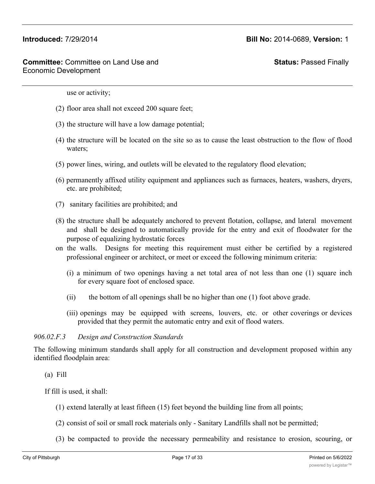**Status:** Passed Finally

use or activity;

- (2) floor area shall not exceed 200 square feet;
- (3) the structure will have a low damage potential;
- (4) the structure will be located on the site so as to cause the least obstruction to the flow of flood waters;
- (5) power lines, wiring, and outlets will be elevated to the regulatory flood elevation;
- (6) permanently affixed utility equipment and appliances such as furnaces, heaters, washers, dryers, etc. are prohibited;
- (7) sanitary facilities are prohibited; and
- (8) the structure shall be adequately anchored to prevent flotation, collapse, and lateral movement and shall be designed to automatically provide for the entry and exit of floodwater for the purpose of equalizing hydrostatic forces
- on the walls. Designs for meeting this requirement must either be certified by a registered professional engineer or architect, or meet or exceed the following minimum criteria:
	- (i) a minimum of two openings having a net total area of not less than one (1) square inch for every square foot of enclosed space.
	- (ii) the bottom of all openings shall be no higher than one (1) foot above grade.
	- (iii) openings may be equipped with screens, louvers, etc. or other coverings or devices provided that they permit the automatic entry and exit of flood waters.

### *906.02.F.3 Design and Construction Standards*

The following minimum standards shall apply for all construction and development proposed within any identified floodplain area:

(a) Fill

If fill is used, it shall:

- (1) extend laterally at least fifteen (15) feet beyond the building line from all points;
- (2) consist of soil or small rock materials only Sanitary Landfills shall not be permitted;
- (3) be compacted to provide the necessary permeability and resistance to erosion, scouring, or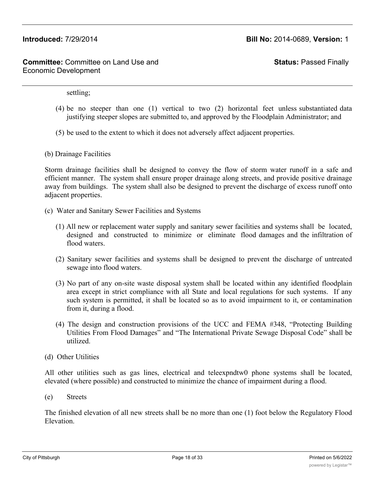**Status:** Passed Finally

settling;

- (4) be no steeper than one (1) vertical to two (2) horizontal feet unless substantiated data justifying steeper slopes are submitted to, and approved by the Floodplain Administrator; and
- (5) be used to the extent to which it does not adversely affect adjacent properties.
- (b) Drainage Facilities

Storm drainage facilities shall be designed to convey the flow of storm water runoff in a safe and efficient manner. The system shall ensure proper drainage along streets, and provide positive drainage away from buildings. The system shall also be designed to prevent the discharge of excess runoff onto adjacent properties.

- (c) Water and Sanitary Sewer Facilities and Systems
	- (1) All new or replacement water supply and sanitary sewer facilities and systems shall be located, designed and constructed to minimize or eliminate flood damages and the infiltration of flood waters.
	- (2) Sanitary sewer facilities and systems shall be designed to prevent the discharge of untreated sewage into flood waters.
	- (3) No part of any on-site waste disposal system shall be located within any identified floodplain area except in strict compliance with all State and local regulations for such systems. If any such system is permitted, it shall be located so as to avoid impairment to it, or contamination from it, during a flood.
	- (4) The design and construction provisions of the UCC and FEMA #348, "Protecting Building Utilities From Flood Damages" and "The International Private Sewage Disposal Code" shall be utilized.
- (d) Other Utilities

All other utilities such as gas lines, electrical and teleexpndtw0 phone systems shall be located, elevated (where possible) and constructed to minimize the chance of impairment during a flood.

(e) Streets

The finished elevation of all new streets shall be no more than one (1) foot below the Regulatory Flood Elevation.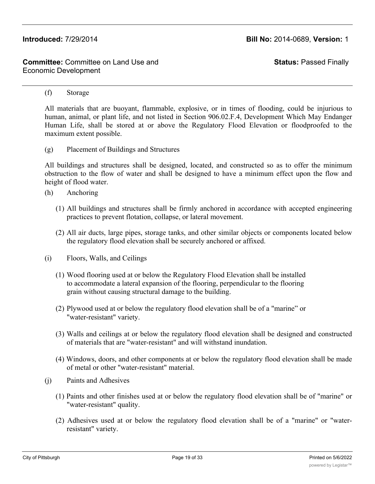**Status:** Passed Finally

### (f) Storage

All materials that are buoyant, flammable, explosive, or in times of flooding, could be injurious to human, animal, or plant life, and not listed in Section 906.02.F.4, Development Which May Endanger Human Life, shall be stored at or above the Regulatory Flood Elevation or floodproofed to the maximum extent possible.

(g) Placement of Buildings and Structures

All buildings and structures shall be designed, located, and constructed so as to offer the minimum obstruction to the flow of water and shall be designed to have a minimum effect upon the flow and height of flood water.

- (h) Anchoring
	- (1) All buildings and structures shall be firmly anchored in accordance with accepted engineering practices to prevent flotation, collapse, or lateral movement.
	- (2) All air ducts, large pipes, storage tanks, and other similar objects or components located below the regulatory flood elevation shall be securely anchored or affixed.
- (i) Floors, Walls, and Ceilings
	- (1) Wood flooring used at or below the Regulatory Flood Elevation shall be installed to accommodate a lateral expansion of the flooring, perpendicular to the flooring grain without causing structural damage to the building.
	- (2) Plywood used at or below the regulatory flood elevation shall be of a "marine" or "water-resistant" variety.
	- (3) Walls and ceilings at or below the regulatory flood elevation shall be designed and constructed of materials that are "water-resistant" and will withstand inundation.
	- (4) Windows, doors, and other components at or below the regulatory flood elevation shall be made of metal or other "water-resistant" material.
- (j) Paints and Adhesives
	- (1) Paints and other finishes used at or below the regulatory flood elevation shall be of "marine" or "water-resistant" quality.
	- (2) Adhesives used at or below the regulatory flood elevation shall be of a "marine" or "waterresistant" variety.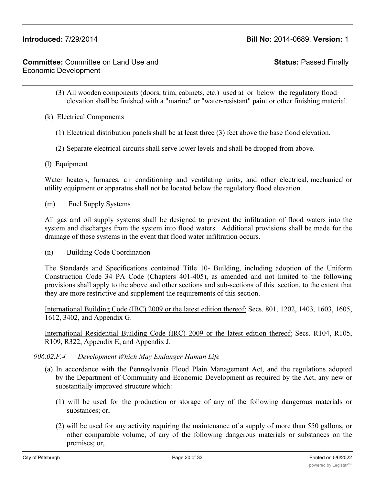**Status:** Passed Finally

- (3) All wooden components (doors, trim, cabinets, etc.) used at or below the regulatory flood elevation shall be finished with a "marine" or "water-resistant" paint or other finishing material.
- (k) Electrical Components
	- (1) Electrical distribution panels shall be at least three (3) feet above the base flood elevation.
	- (2) Separate electrical circuits shall serve lower levels and shall be dropped from above.
- (l) Equipment

Water heaters, furnaces, air conditioning and ventilating units, and other electrical, mechanical or utility equipment or apparatus shall not be located below the regulatory flood elevation.

(m) Fuel Supply Systems

All gas and oil supply systems shall be designed to prevent the infiltration of flood waters into the system and discharges from the system into flood waters. Additional provisions shall be made for the drainage of these systems in the event that flood water infiltration occurs.

(n) Building Code Coordination

The Standards and Specifications contained Title 10- Building, including adoption of the Uniform Construction Code 34 PA Code (Chapters 401-405), as amended and not limited to the following provisions shall apply to the above and other sections and sub-sections of this section, to the extent that they are more restrictive and supplement the requirements of this section.

International Building Code (IBC) 2009 or the latest edition thereof: Secs. 801, 1202, 1403, 1603, 1605, 1612, 3402, and Appendix G.

International Residential Building Code (IRC) 2009 or the latest edition thereof: Secs. R104, R105, R109, R322, Appendix E, and Appendix J.

## *906.02.F.4 Development Which May Endanger Human Life*

- (a) In accordance with the Pennsylvania Flood Plain Management Act, and the regulations adopted by the Department of Community and Economic Development as required by the Act, any new or substantially improved structure which:
	- (1) will be used for the production or storage of any of the following dangerous materials or substances; or,
	- (2) will be used for any activity requiring the maintenance of a supply of more than 550 gallons, or other comparable volume, of any of the following dangerous materials or substances on the premises; or,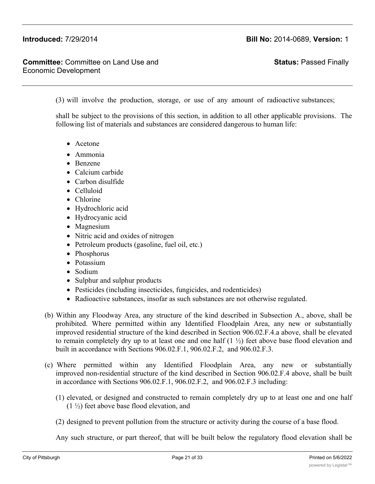**Committee:** Committee on Land Use and Economic Development

**Status:** Passed Finally

(3) will involve the production, storage, or use of any amount of radioactive substances;

shall be subject to the provisions of this section, in addition to all other applicable provisions. The following list of materials and substances are considered dangerous to human life:

- Acetone
- · Ammonia
- · Benzene
- Calcium carbide
- · Carbon disulfide
- · Celluloid
- Chlorine
- · Hydrochloric acid
- · Hydrocyanic acid
- Magnesium
- Nitric acid and oxides of nitrogen
- Petroleum products (gasoline, fuel oil, etc.)
- Phosphorus
- Potassium
- Sodium
- · Sulphur and sulphur products
- Pesticides (including insecticides, fungicides, and rodenticides)
- · Radioactive substances, insofar as such substances are not otherwise regulated.
- (b) Within any Floodway Area, any structure of the kind described in Subsection A., above, shall be prohibited. Where permitted within any Identified Floodplain Area, any new or substantially improved residential structure of the kind described in Section 906.02.F.4.a above, shall be elevated to remain completely dry up to at least one and one half  $(1 \frac{1}{2})$  feet above base flood elevation and built in accordance with Sections 906.02.F.1, 906.02.F.2, and 906.02.F.3.
- (c) Where permitted within any Identified Floodplain Area, any new or substantially improved non-residential structure of the kind described in Section 906.02.F.4 above, shall be built in accordance with Sections 906.02.F.1, 906.02.F.2, and 906.02.F.3 including:
	- (1) elevated, or designed and constructed to remain completely dry up to at least one and one half (1 ½) feet above base flood elevation, and
	- (2) designed to prevent pollution from the structure or activity during the course of a base flood.

Any such structure, or part thereof, that will be built below the regulatory flood elevation shall be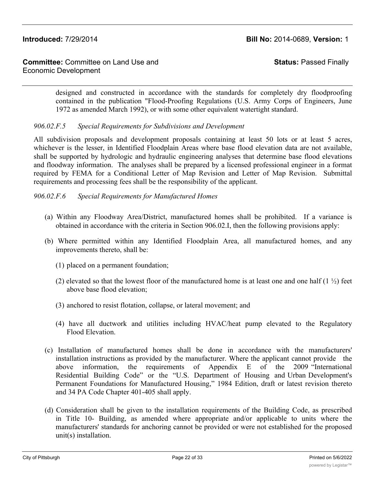**Status:** Passed Finally

designed and constructed in accordance with the standards for completely dry floodproofing contained in the publication "Flood-Proofing Regulations (U.S. Army Corps of Engineers, June 1972 as amended March 1992), or with some other equivalent watertight standard.

# *906.02.F.5 Special Requirements for Subdivisions and Development*

All subdivision proposals and development proposals containing at least 50 lots or at least 5 acres, whichever is the lesser, in Identified Floodplain Areas where base flood elevation data are not available, shall be supported by hydrologic and hydraulic engineering analyses that determine base flood elevations and floodway information. The analyses shall be prepared by a licensed professional engineer in a format required by FEMA for a Conditional Letter of Map Revision and Letter of Map Revision. Submittal requirements and processing fees shall be the responsibility of the applicant.

*906.02.F.6 Special Requirements for Manufactured Homes*

- (a) Within any Floodway Area/District, manufactured homes shall be prohibited. If a variance is obtained in accordance with the criteria in Section 906.02.I, then the following provisions apply:
- (b) Where permitted within any Identified Floodplain Area, all manufactured homes, and any improvements thereto, shall be:
	- (1) placed on a permanent foundation;
	- (2) elevated so that the lowest floor of the manufactured home is at least one and one half  $(1 \frac{1}{2})$  feet above base flood elevation;
	- (3) anchored to resist flotation, collapse, or lateral movement; and
	- (4) have all ductwork and utilities including HVAC/heat pump elevated to the Regulatory Flood Elevation.
- (c) Installation of manufactured homes shall be done in accordance with the manufacturers' installation instructions as provided by the manufacturer. Where the applicant cannot provide the above information, the requirements of Appendix E of the 2009 "International Residential Building Code" or the "U.S. Department of Housing and Urban Development's Permanent Foundations for Manufactured Housing," 1984 Edition, draft or latest revision thereto and 34 PA Code Chapter 401-405 shall apply.
- (d) Consideration shall be given to the installation requirements of the Building Code, as prescribed in Title 10- Building, as amended where appropriate and/or applicable to units where the manufacturers' standards for anchoring cannot be provided or were not established for the proposed unit(s) installation.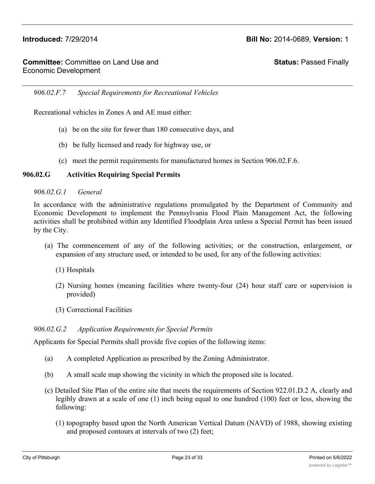**Status:** Passed Finally

*906.02.F.7 Special Requirements for Recreational Vehicles*

Recreational vehicles in Zones A and AE must either:

- (a) be on the site for fewer than 180 consecutive days, and
- (b) be fully licensed and ready for highway use, or
- (c) meet the permit requirements for manufactured homes in Section 906.02.F.6.

### **906.02.G Activities Requiring Special Permits**

### *906.02.G.1 General*

In accordance with the administrative regulations promulgated by the Department of Community and Economic Development to implement the Pennsylvania Flood Plain Management Act, the following activities shall be prohibited within any Identified Floodplain Area unless a Special Permit has been issued by the City.

- (a) The commencement of any of the following activities; or the construction, enlargement, or expansion of any structure used, or intended to be used, for any of the following activities:
	- (1) Hospitals
	- (2) Nursing homes (meaning facilities where twenty-four (24) hour staff care or supervision is provided)
	- (3) Correctional Facilities

### *906.02.G.2 Application Requirements for Special Permits*

Applicants for Special Permits shall provide five copies of the following items:

- (a) A completed Application as prescribed by the Zoning Administrator.
- (b) A small scale map showing the vicinity in which the proposed site is located.
- (c) Detailed Site Plan of the entire site that meets the requirements of Section 922.01.D.2 A, clearly and legibly drawn at a scale of one (1) inch being equal to one hundred (100) feet or less, showing the following:
	- (1) topography based upon the North American Vertical Datum (NAVD) of 1988, showing existing and proposed contours at intervals of two (2) feet;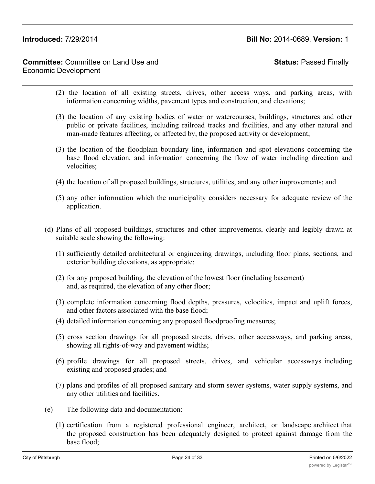# **Committee:** Committee on Land Use and Economic Development

# **Status:** Passed Finally

- (2) the location of all existing streets, drives, other access ways, and parking areas, with information concerning widths, pavement types and construction, and elevations;
- (3) the location of any existing bodies of water or watercourses, buildings, structures and other public or private facilities, including railroad tracks and facilities, and any other natural and man-made features affecting, or affected by, the proposed activity or development;
- (3) the location of the floodplain boundary line, information and spot elevations concerning the base flood elevation, and information concerning the flow of water including direction and velocities;
- (4) the location of all proposed buildings, structures, utilities, and any other improvements; and
- (5) any other information which the municipality considers necessary for adequate review of the application.
- (d) Plans of all proposed buildings, structures and other improvements, clearly and legibly drawn at suitable scale showing the following:
	- (1) sufficiently detailed architectural or engineering drawings, including floor plans, sections, and exterior building elevations, as appropriate;
	- (2) for any proposed building, the elevation of the lowest floor (including basement) and, as required, the elevation of any other floor;
	- (3) complete information concerning flood depths, pressures, velocities, impact and uplift forces, and other factors associated with the base flood;
	- (4) detailed information concerning any proposed floodproofing measures;
	- (5) cross section drawings for all proposed streets, drives, other accessways, and parking areas, showing all rights-of-way and pavement widths;
	- (6) profile drawings for all proposed streets, drives, and vehicular accessways including existing and proposed grades; and
	- (7) plans and profiles of all proposed sanitary and storm sewer systems, water supply systems, and any other utilities and facilities.
- (e) The following data and documentation:
	- (1) certification from a registered professional engineer, architect, or landscape architect that the proposed construction has been adequately designed to protect against damage from the base flood;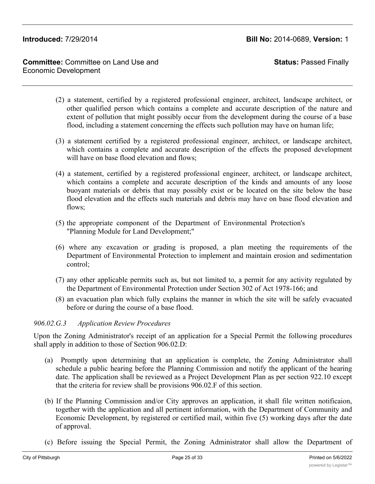**Status:** Passed Finally

- (2) a statement, certified by a registered professional engineer, architect, landscape architect, or other qualified person which contains a complete and accurate description of the nature and extent of pollution that might possibly occur from the development during the course of a base flood, including a statement concerning the effects such pollution may have on human life;
- (3) a statement certified by a registered professional engineer, architect, or landscape architect, which contains a complete and accurate description of the effects the proposed development will have on base flood elevation and flows;
- (4) a statement, certified by a registered professional engineer, architect, or landscape architect, which contains a complete and accurate description of the kinds and amounts of any loose buoyant materials or debris that may possibly exist or be located on the site below the base flood elevation and the effects such materials and debris may have on base flood elevation and flows;
- (5) the appropriate component of the Department of Environmental Protection's "Planning Module for Land Development;"
- (6) where any excavation or grading is proposed, a plan meeting the requirements of the Department of Environmental Protection to implement and maintain erosion and sedimentation control;
- (7) any other applicable permits such as, but not limited to, a permit for any activity regulated by the Department of Environmental Protection under Section 302 of Act 1978-166; and
- (8) an evacuation plan which fully explains the manner in which the site will be safely evacuated before or during the course of a base flood.

# *906.02.G.3 Application Review Procedures*

Upon the Zoning Administrator's receipt of an application for a Special Permit the following procedures shall apply in addition to those of Section 906.02.D:

- (a) Promptly upon determining that an application is complete, the Zoning Administrator shall schedule a public hearing before the Planning Commission and notify the applicant of the hearing date. The application shall be reviewed as a Project Development Plan as per section 922.10 except that the criteria for review shall be provisions 906.02.F of this section.
- (b) If the Planning Commission and/or City approves an application, it shall file written notificaion, together with the application and all pertinent information, with the Department of Community and Economic Development, by registered or certified mail, within five (5) working days after the date of approval.
- (c) Before issuing the Special Permit, the Zoning Administrator shall allow the Department of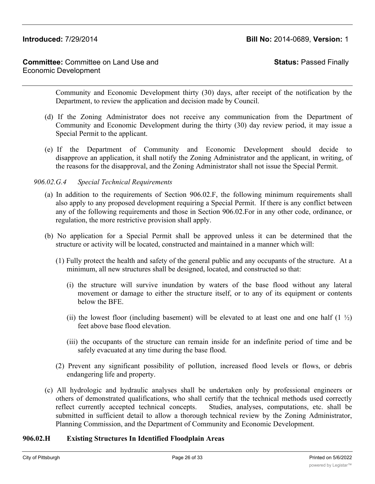# **Committee:** Committee on Land Use and Economic Development

**Status:** Passed Finally

Community and Economic Development thirty (30) days, after receipt of the notification by the Department, to review the application and decision made by Council.

- (d) If the Zoning Administrator does not receive any communication from the Department of Community and Economic Development during the thirty (30) day review period, it may issue a Special Permit to the applicant.
- (e) If the Department of Community and Economic Development should decide to disapprove an application, it shall notify the Zoning Administrator and the applicant, in writing, of the reasons for the disapproval, and the Zoning Administrator shall not issue the Special Permit.

# *906.02.G.4 Special Technical Requirements*

- (a) In addition to the requirements of Section 906.02.F, the following minimum requirements shall also apply to any proposed development requiring a Special Permit. If there is any conflict between any of the following requirements and those in Section 906.02.For in any other code, ordinance, or regulation, the more restrictive provision shall apply.
- (b) No application for a Special Permit shall be approved unless it can be determined that the structure or activity will be located, constructed and maintained in a manner which will:
	- (1) Fully protect the health and safety of the general public and any occupants of the structure. At a minimum, all new structures shall be designed, located, and constructed so that:
		- (i) the structure will survive inundation by waters of the base flood without any lateral movement or damage to either the structure itself, or to any of its equipment or contents below the BFE.
		- (ii) the lowest floor (including basement) will be elevated to at least one and one half  $(1 \frac{1}{2})$ feet above base flood elevation.
		- (iii) the occupants of the structure can remain inside for an indefinite period of time and be safely evacuated at any time during the base flood.
	- (2) Prevent any significant possibility of pollution, increased flood levels or flows, or debris endangering life and property.
- (c) All hydrologic and hydraulic analyses shall be undertaken only by professional engineers or others of demonstrated qualifications, who shall certify that the technical methods used correctly reflect currently accepted technical concepts. Studies, analyses, computations, etc. shall be submitted in sufficient detail to allow a thorough technical review by the Zoning Administrator, Planning Commission, and the Department of Community and Economic Development.

## **906.02.H Existing Structures In Identified Floodplain Areas**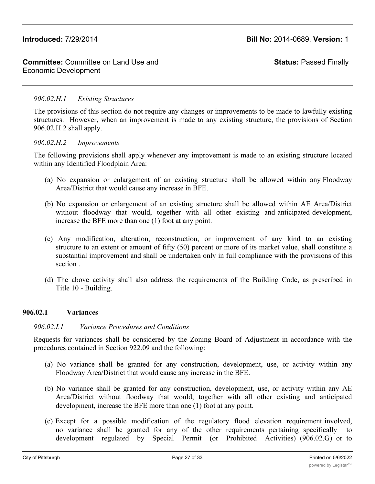**Status:** Passed Finally

# *906.02.H.1 Existing Structures*

The provisions of this section do not require any changes or improvements to be made to lawfully existing structures. However, when an improvement is made to any existing structure, the provisions of Section 906.02.H.2 shall apply.

### *906.02.H.2 Improvements*

The following provisions shall apply whenever any improvement is made to an existing structure located within any Identified Floodplain Area:

- (a) No expansion or enlargement of an existing structure shall be allowed within any Floodway Area/District that would cause any increase in BFE.
- (b) No expansion or enlargement of an existing structure shall be allowed within AE Area/District without floodway that would, together with all other existing and anticipated development, increase the BFE more than one (1) foot at any point.
- (c) Any modification, alteration, reconstruction, or improvement of any kind to an existing structure to an extent or amount of fifty (50) percent or more of its market value, shall constitute a substantial improvement and shall be undertaken only in full compliance with the provisions of this section .
- (d) The above activity shall also address the requirements of the Building Code, as prescribed in Title 10 - Building.

## **906.02.I Variances**

## *906.02.I.1 Variance Procedures and Conditions*

Requests for variances shall be considered by the Zoning Board of Adjustment in accordance with the procedures contained in Section 922.09 and the following:

- (a) No variance shall be granted for any construction, development, use, or activity within any Floodway Area/District that would cause any increase in the BFE.
- (b) No variance shall be granted for any construction, development, use, or activity within any AE Area/District without floodway that would, together with all other existing and anticipated development, increase the BFE more than one (1) foot at any point.
- (c) Except for a possible modification of the regulatory flood elevation requirement involved, no variance shall be granted for any of the other requirements pertaining specifically to development regulated by Special Permit (or Prohibited Activities) (906.02.G) or to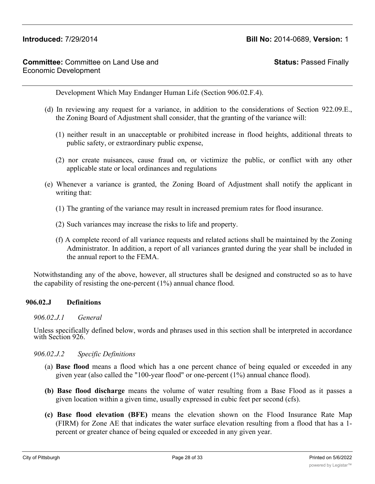**Status:** Passed Finally

Development Which May Endanger Human Life (Section 906.02.F.4).

- (d) In reviewing any request for a variance, in addition to the considerations of Section 922.09.E., the Zoning Board of Adjustment shall consider, that the granting of the variance will:
	- (1) neither result in an unacceptable or prohibited increase in flood heights, additional threats to public safety, or extraordinary public expense,
	- (2) nor create nuisances, cause fraud on, or victimize the public, or conflict with any other applicable state or local ordinances and regulations
- (e) Whenever a variance is granted, the Zoning Board of Adjustment shall notify the applicant in writing that:
	- (1) The granting of the variance may result in increased premium rates for flood insurance.
	- (2) Such variances may increase the risks to life and property.
	- (f) A complete record of all variance requests and related actions shall be maintained by the Zoning Administrator. In addition, a report of all variances granted during the year shall be included in the annual report to the FEMA.

Notwithstanding any of the above, however, all structures shall be designed and constructed so as to have the capability of resisting the one-percent (1%) annual chance flood.

### **906.02.J Definitions**

### *906.02.J.1 General*

Unless specifically defined below, words and phrases used in this section shall be interpreted in accordance with Section 926.

### *906.02.J.2 Specific Definitions*

- (a) **Base flood** means a flood which has a one percent chance of being equaled or exceeded in any given year (also called the "100-year flood" or one-percent (1%) annual chance flood).
- **(b) Base flood discharge** means the volume of water resulting from a Base Flood as it passes a given location within a given time, usually expressed in cubic feet per second (cfs).
- **(c) Base flood elevation (BFE)** means the elevation shown on the Flood Insurance Rate Map (FIRM) for Zone AE that indicates the water surface elevation resulting from a flood that has a 1 percent or greater chance of being equaled or exceeded in any given year.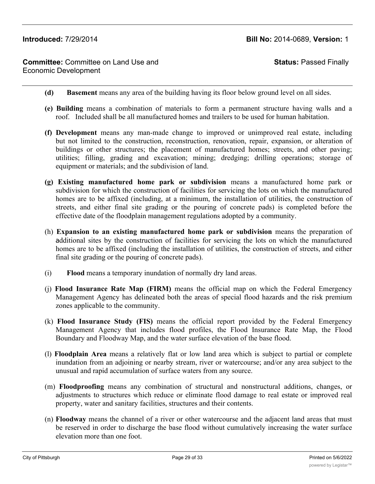**Committee:** Committee on Land Use and Economic Development

**Status:** Passed Finally

- **(d) Basement** means any area of the building having its floor below ground level on all sides.
- **(e) Building** means a combination of materials to form a permanent structure having walls and a roof. Included shall be all manufactured homes and trailers to be used for human habitation.
- **(f) Development** means any man-made change to improved or unimproved real estate, including but not limited to the construction, reconstruction, renovation, repair, expansion, or alteration of buildings or other structures; the placement of manufactured homes; streets, and other paving; utilities; filling, grading and excavation; mining; dredging; drilling operations; storage of equipment or materials; and the subdivision of land.
- **(g) Existing manufactured home park or subdivision** means a manufactured home park or subdivision for which the construction of facilities for servicing the lots on which the manufactured homes are to be affixed (including, at a minimum, the installation of utilities, the construction of streets, and either final site grading or the pouring of concrete pads) is completed before the effective date of the floodplain management regulations adopted by a community.
- (h) **Expansion to an existing manufactured home park or subdivision** means the preparation of additional sites by the construction of facilities for servicing the lots on which the manufactured homes are to be affixed (including the installation of utilities, the construction of streets, and either final site grading or the pouring of concrete pads).
- (i) **Flood** means a temporary inundation of normally dry land areas.
- (j) **Flood Insurance Rate Map (FIRM)** means the official map on which the Federal Emergency Management Agency has delineated both the areas of special flood hazards and the risk premium zones applicable to the community.
- (k) **Flood Insurance Study (FIS)** means the official report provided by the Federal Emergency Management Agency that includes flood profiles, the Flood Insurance Rate Map, the Flood Boundary and Floodway Map, and the water surface elevation of the base flood.
- (l) **Floodplain Area** means a relatively flat or low land area which is subject to partial or complete inundation from an adjoining or nearby stream, river or watercourse; and/or any area subject to the unusual and rapid accumulation of surface waters from any source.
- (m) **Floodproofing** means any combination of structural and nonstructural additions, changes, or adjustments to structures which reduce or eliminate flood damage to real estate or improved real property, water and sanitary facilities, structures and their contents.
- (n) **Floodway** means the channel of a river or other watercourse and the adjacent land areas that must be reserved in order to discharge the base flood without cumulatively increasing the water surface elevation more than one foot.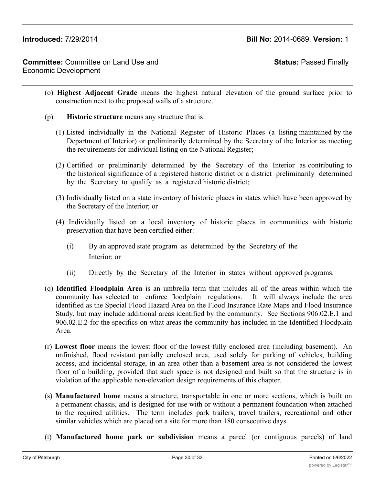**Status:** Passed Finally

- (o) **Highest Adjacent Grade** means the highest natural elevation of the ground surface prior to construction next to the proposed walls of a structure.
- (p) **Historic structure** means any structure that is:
	- (1) Listed individually in the National Register of Historic Places (a listing maintained by the Department of Interior) or preliminarily determined by the Secretary of the Interior as meeting the requirements for individual listing on the National Register;
	- (2) Certified or preliminarily determined by the Secretary of the Interior as contributing to the historical significance of a registered historic district or a district preliminarily determined by the Secretary to qualify as a registered historic district;
	- (3) Individually listed on a state inventory of historic places in states which have been approved by the Secretary of the Interior; or
	- (4) Individually listed on a local inventory of historic places in communities with historic preservation that have been certified either:
		- (i) By an approved state program as determined by the Secretary of the Interior; or
		- (ii) Directly by the Secretary of the Interior in states without approved programs.
- (q) **Identified Floodplain Area** is an umbrella term that includes all of the areas within which the community has selected to enforce floodplain regulations. It will always include the area identified as the Special Flood Hazard Area on the Flood Insurance Rate Maps and Flood Insurance Study, but may include additional areas identified by the community. See Sections 906.02.E.1 and 906.02.E.2 for the specifics on what areas the community has included in the Identified Floodplain Area.
- (r) **Lowest floor** means the lowest floor of the lowest fully enclosed area (including basement). An unfinished, flood resistant partially enclosed area, used solely for parking of vehicles, building access, and incidental storage, in an area other than a basement area is not considered the lowest floor of a building, provided that such space is not designed and built so that the structure is in violation of the applicable non-elevation design requirements of this chapter.
- (s) **Manufactured home** means a structure, transportable in one or more sections, which is built on a permanent chassis, and is designed for use with or without a permanent foundation when attached to the required utilities. The term includes park trailers, travel trailers, recreational and other similar vehicles which are placed on a site for more than 180 consecutive days.
- (t) **Manufactured home park or subdivision** means a parcel (or contiguous parcels) of land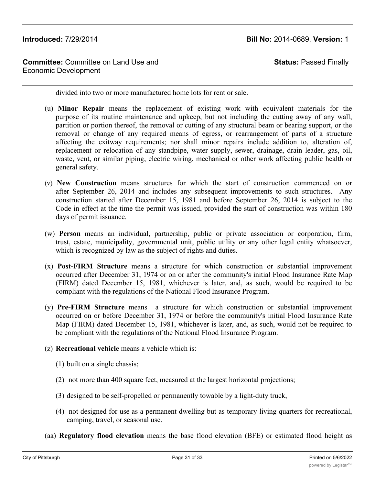**Committee:** Committee on Land Use and Economic Development

**Status:** Passed Finally

divided into two or more manufactured home lots for rent or sale.

- (u) **Minor Repair** means the replacement of existing work with equivalent materials for the purpose of its routine maintenance and upkeep, but not including the cutting away of any wall, partition or portion thereof, the removal or cutting of any structural beam or bearing support, or the removal or change of any required means of egress, or rearrangement of parts of a structure affecting the exitway requirements; nor shall minor repairs include addition to, alteration of, replacement or relocation of any standpipe, water supply, sewer, drainage, drain leader, gas, oil, waste, vent, or similar piping, electric wiring, mechanical or other work affecting public health or general safety.
- (v) **New Construction** means structures for which the start of construction commenced on or after September 26, 2014 and includes any subsequent improvements to such structures. Any construction started after December 15, 1981 and before September 26, 2014 is subject to the Code in effect at the time the permit was issued, provided the start of construction was within 180 days of permit issuance.
- (w) **Person** means an individual, partnership, public or private association or corporation, firm, trust, estate, municipality, governmental unit, public utility or any other legal entity whatsoever, which is recognized by law as the subject of rights and duties.
- (x) **Post-FIRM Structure** means a structure for which construction or substantial improvement occurred after December 31, 1974 or on or after the community's initial Flood Insurance Rate Map (FIRM) dated December 15, 1981, whichever is later, and, as such, would be required to be compliant with the regulations of the National Flood Insurance Program.
- (y) **Pre-FIRM Structure** means a structure for which construction or substantial improvement occurred on or before December 31, 1974 or before the community's initial Flood Insurance Rate Map (FIRM) dated December 15, 1981, whichever is later, and, as such, would not be required to be compliant with the regulations of the National Flood Insurance Program.
- (z) **Recreational vehicle** means a vehicle which is:
	- (1) built on a single chassis;
	- (2) not more than 400 square feet, measured at the largest horizontal projections;
	- (3) designed to be self-propelled or permanently towable by a light-duty truck,
	- (4) not designed for use as a permanent dwelling but as temporary living quarters for recreational, camping, travel, or seasonal use.
- (aa) **Regulatory flood elevation** means the base flood elevation (BFE) or estimated flood height as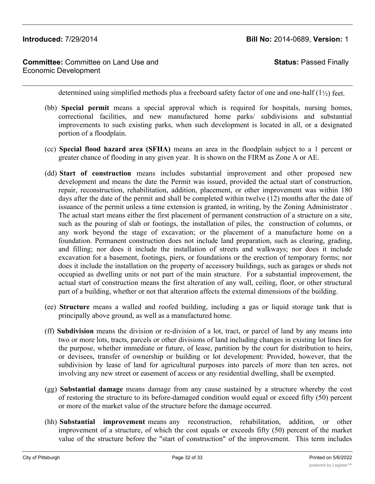**Committee:** Committee on Land Use and Economic Development

**Status:** Passed Finally

determined using simplified methods plus a freeboard safety factor of one and one-half  $(1\frac{1}{2})$  feet.

- (bb) **Special permit** means a special approval which is required for hospitals, nursing homes, correctional facilities, and new manufactured home parks/ subdivisions and substantial improvements to such existing parks, when such development is located in all, or a designated portion of a floodplain.
- (cc) **Special flood hazard area (SFHA)** means an area in the floodplain subject to a 1 percent or greater chance of flooding in any given year. It is shown on the FIRM as Zone A or AE.
- (dd) **Start of construction** means includes substantial improvement and other proposed new development and means the date the Permit was issued, provided the actual start of construction, repair, reconstruction, rehabilitation, addition, placement, or other improvement was within 180 days after the date of the permit and shall be completed within twelve (12) months after the date of issuance of the permit unless a time extension is granted, in writing, by the Zoning Administrator . The actual start means either the first placement of permanent construction of a structure on a site, such as the pouring of slab or footings, the installation of piles, the construction of columns, or any work beyond the stage of excavation; or the placement of a manufacture home on a foundation. Permanent construction does not include land preparation, such as clearing, grading, and filling; nor does it include the installation of streets and walkways; nor does it include excavation for a basement, footings, piers, or foundations or the erection of temporary forms; nor does it include the installation on the property of accessory buildings, such as garages or sheds not occupied as dwelling units or not part of the main structure. For a substantial improvement, the actual start of construction means the first alteration of any wall, ceiling, floor, or other structural part of a building, whether or not that alteration affects the external dimensions of the building.
- (ee) **Structure** means a walled and roofed building, including a gas or liquid storage tank that is principally above ground, as well as a manufactured home.
- (ff) **Subdivision** means the division or re-division of a lot, tract, or parcel of land by any means into two or more lots, tracts, parcels or other divisions of land including changes in existing lot lines for the purpose, whether immediate or future, of lease, partition by the court for distribution to heirs, or devisees, transfer of ownership or building or lot development: Provided, however, that the subdivision by lease of land for agricultural purposes into parcels of more than ten acres, not involving any new street or easement of access or any residential dwelling, shall be exempted.
- (gg) **Substantial damage** means damage from any cause sustained by a structure whereby the cost of restoring the structure to its before-damaged condition would equal or exceed fifty (50) percent or more of the market value of the structure before the damage occurred.
- (hh) **Substantial improvement** means any reconstruction, rehabilitation, addition, or other improvement of a structure, of which the cost equals or exceeds fifty (50) percent of the market value of the structure before the "start of construction" of the improvement. This term includes